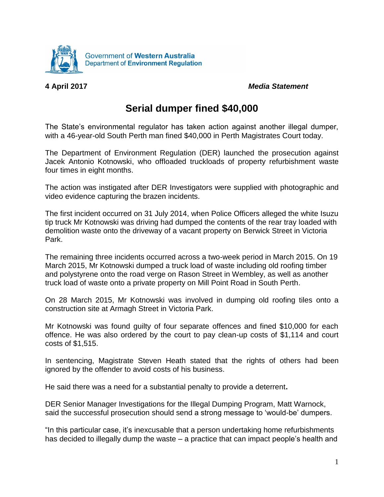

**4 April 2017** *Media Statement*

## **Serial dumper fined \$40,000**

The State's environmental regulator has taken action against another illegal dumper, with a 46-year-old South Perth man fined \$40,000 in Perth Magistrates Court today.

The Department of Environment Regulation (DER) launched the prosecution against Jacek Antonio Kotnowski, who offloaded truckloads of property refurbishment waste four times in eight months.

The action was instigated after DER Investigators were supplied with photographic and video evidence capturing the brazen incidents.

The first incident occurred on 31 July 2014, when Police Officers alleged the white Isuzu tip truck Mr Kotnowski was driving had dumped the contents of the rear tray loaded with demolition waste onto the driveway of a vacant property on Berwick Street in Victoria Park.

The remaining three incidents occurred across a two-week period in March 2015. On 19 March 2015, Mr Kotnowski dumped a truck load of waste including old roofing timber and polystyrene onto the road verge on Rason Street in Wembley, as well as another truck load of waste onto a private property on Mill Point Road in South Perth.

On 28 March 2015, Mr Kotnowski was involved in dumping old roofing tiles onto a construction site at Armagh Street in Victoria Park.

Mr Kotnowski was found guilty of four separate offences and fined \$10,000 for each offence. He was also ordered by the court to pay clean-up costs of \$1,114 and court costs of \$1,515.

In sentencing, Magistrate Steven Heath stated that the rights of others had been ignored by the offender to avoid costs of his business.

He said there was a need for a substantial penalty to provide a deterrent**.**

DER Senior Manager Investigations for the Illegal Dumping Program, Matt Warnock, said the successful prosecution should send a strong message to 'would-be' dumpers.

"In this particular case, it's inexcusable that a person undertaking home refurbishments has decided to illegally dump the waste – a practice that can impact people's health and